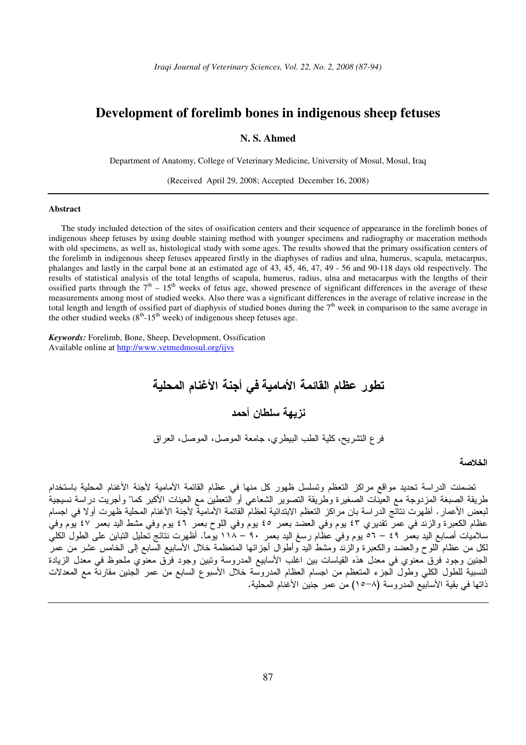# **Development of forelimb bones in indigenous sheep fetuses**

**N. S. Ahmed** 

Department of Anatomy, College of Veterinary Medicine, University of Mosul, Mosul, Iraq

(Received April 29, 2008; Accepted December 16, 2008)

### **Abstract**

The study included detection of the sites of ossification centers and their sequence of appearance in the forelimb bones of indigenous sheep fetuses by using double staining method with younger specimens and radiography or maceration methods with old specimens, as well as, histological study with some ages. The results showed that the primary ossification centers of the forelimb in indigenous sheep fetuses appeared firstly in the diaphyses of radius and ulna, humerus, scapula, metacarpus, phalanges and lastly in the carpal bone at an estimated age of 43, 45, 46, 47, 49 - 56 and 90-118 days old respectively. The results of statistical analysis of the total lengths of scapula, humerus, radius, ulna and metacarpus with the lengths of their ossified parts through the  $7<sup>th</sup> - 15<sup>th</sup>$  weeks of fetus age, showed presence of significant differences in the average of these measurements among most of studied weeks. Also there was a significant differences in the average of relative increase in the total length and length of ossified part of diaphysis of studied bones during the  $7<sup>th</sup>$  week in comparison to the same average in the other studied weeks  $(8<sup>th</sup> - 15<sup>th</sup>$  week) of indigenous sheep fetuses age.

*Keywords:* Forelimb, Bone, Sheep, Development, Ossification Available online at http://www.vetmedmosul.org/ijvs

 - - - - 
 - 
 
 -

# الخلاصة

تضمنت الدراسة تحديد مواقع مراكز النعظم وتسلسل ظهور كل منها في عظام القائمة الأمامية لأجنة الأغنام المحلية باستخدام طريقة الصبغة المزدوجة مع العينات الصغيرة وطريقة النصوير الشعاعي أو النعطين مع العينات الأكبر كما" وأجريت دراسة نسيجية لبعض الأعمار . أظهرت نتائج الدراسة بان مراكز التعظم الابتدائية لعظام القائمة الأمامية لأجنة الأغنام المحلية ظهرت أولا في اجسام عظام الكعبرة والزند في عمر تقديري ٤٣ يوم وفي العضد بعمر ٤٥ يوم وفي اللوح بعمر ٤٦ يوم وفي مشط اليد بعمر ٤٧ يوم وفي سلاميات أصابع اليد بعمر ٤٩ – ٥٦ يوم وفي عظام رسغ اليد بعمر ٩٠ – ١١٨ يوماً. أظهرت نتائج تحليل التباين على الطول الكلي لكل من عظام اللوح والعضد والكعبرة والزند ومشط اليد وأطوال أجزائها المنعظمة خلال الأسابيع السابع إلى الخامس عشر من عمر الجنين وجود فرق معنوي في معدل هذه القياسات بين اغلب الأسابيع المدروسة وتبين وجود فرق معنوي ملحوظ في معدل الزيادة النسبية للطول الكلي وطول الجزء المتعظم من اجسام العظام المدروسة خلال الأسبوع السابع من عمر الجنين مقارنة مع المعدلات ذاتها في بقية الأسابيع المدروسة (٨–١٥) من عمر جنين الأغنام المحلية.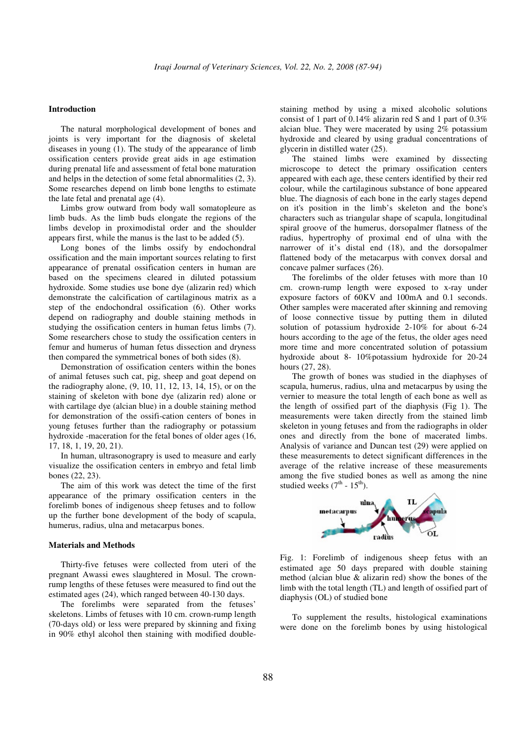#### **Introduction**

The natural morphological development of bones and joints is very important for the diagnosis of skeletal diseases in young  $(1)$ . The study of the appearance of limb ossification centers provide great aids in age estimation during prenatal life and assessment of fetal bone maturation and helps in the detection of some fetal abnormalities (2, 3). Some researches depend on limb bone lengths to estimate the late fetal and prenatal age (4).

Limbs grow outward from body wall somatopleure as limb buds. As the limb buds elongate the regions of the limbs develop in proximodistal order and the shoulder appears first, while the manus is the last to be added (5).

Long bones of the limbs ossify by endochondral ossification and the main important sources relating to first appearance of prenatal ossification centers in human are based on the specimens cleared in diluted potassium hydroxide. Some studies use bone dye (alizarin red) which demonstrate the calcification of cartilaginous matrix as a step of the endochondral ossification (6). Other works depend on radiography and double staining methods in studying the ossification centers in human fetus limbs (7). Some researchers chose to study the ossification centers in femur and humerus of human fetus dissection and dryness then compared the symmetrical bones of both sides (8).

Demonstration of ossification centers within the bones of animal fetuses such cat, pig, sheep and goat depend on the radiography alone, (9, 10, 11, 12, 13, 14, 15), or on the staining of skeleton with bone dye (alizarin red) alone or with cartilage dye (alcian blue) in a double staining method for demonstration of the ossifi-cation centers of bones in young fetuses further than the radiography or potassium hydroxide -maceration for the fetal bones of older ages (16, 17, 18, 1, 19, 20, 21).

In human, ultrasonograpry is used to measure and early visualize the ossification centers in embryo and fetal limb bones (22, 23).

The aim of this work was detect the time of the first appearance of the primary ossification centers in the forelimb bones of indigenous sheep fetuses and to follow up the further bone development of the body of scapula, humerus, radius, ulna and metacarpus bones.

#### **Materials and Methods**

Thirty-five fetuses were collected from uteri of the pregnant Awassi ewes slaughtered in Mosul. The crownrump lengths of these fetuses were measured to find out the estimated ages (24), which ranged between 40-130 days.

The forelimbs were separated from the fetuses' skeletons. Limbs of fetuses with 10 cm. crown-rump length (70-days old) or less were prepared by skinning and fixing in 90% ethyl alcohol then staining with modified double-

staining method by using a mixed alcoholic solutions consist of 1 part of 0.14% alizarin red S and 1 part of 0.3% alcian blue. They were macerated by using 2% potassium hydroxide and cleared by using gradual concentrations of glycerin in distilled water (25).

The stained limbs were examined by dissecting microscope to detect the primary ossification centers appeared with each age, these centers identified by their red colour, while the cartilaginous substance of bone appeared blue. The diagnosis of each bone in the early stages depend on it's position in the limb's skeleton and the bone's characters such as triangular shape of scapula, longitudinal spiral groove of the humerus, dorsopalmer flatness of the radius, hypertrophy of proximal end of ulna with the narrower of it's distal end (18), and the dorsopalmer flattened body of the metacarpus with convex dorsal and concave palmer surfaces (26).

The forelimbs of the older fetuses with more than 10 cm. crown-rump length were exposed to x-ray under exposure factors of 60KV and 100mA and 0.1 seconds. Other samples were macerated after skinning and removing of loose connective tissue by putting them in diluted solution of potassium hydroxide 2-10% for about 6-24 hours according to the age of the fetus, the older ages need more time and more concentrated solution of potassium hydroxide about 8- 10%potassium hydroxide for 20-24 hours (27, 28).

The growth of bones was studied in the diaphyses of scapula, humerus, radius, ulna and metacarpus by using the vernier to measure the total length of each bone as well as the length of ossified part of the diaphysis (Fig 1). The measurements were taken directly from the stained limb skeleton in young fetuses and from the radiographs in older ones and directly from the bone of macerated limbs. Analysis of variance and Duncan test (29) were applied on these measurements to detect significant differences in the average of the relative increase of these measurements among the five studied bones as well as among the nine studied weeks  $(7<sup>th</sup> - 15<sup>th</sup>)$ .



Fig. 1: Forelimb of indigenous sheep fetus with an estimated age 50 days prepared with double staining method (alcian blue & alizarin red) show the bones of the limb with the total length (TL) and length of ossified part of diaphysis (OL) of studied bone

To supplement the results, histological examinations were done on the forelimb bones by using histological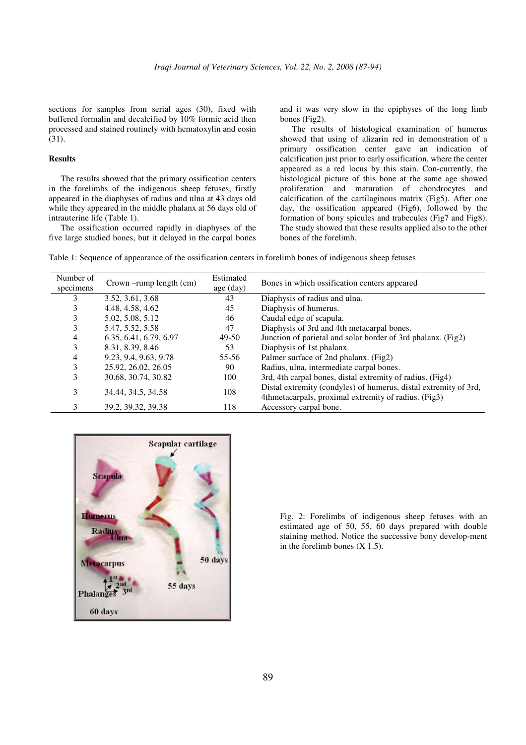sections for samples from serial ages (30), fixed with buffered formalin and decalcified by 10% formic acid then processed and stained routinely with hematoxylin and eosin (31).

## **Results**

The results showed that the primary ossification centers in the forelimbs of the indigenous sheep fetuses, firstly appeared in the diaphyses of radius and ulna at 43 days old while they appeared in the middle phalanx at 56 days old of intrauterine life (Table 1).

The ossification occurred rapidly in diaphyses of the five large studied bones, but it delayed in the carpal bones and it was very slow in the epiphyses of the long limb bones (Fig2).

The results of histological examination of humerus showed that using of alizarin red in demonstration of a primary ossification center gave an indication of calcification just prior to early ossification, where the center appeared as a red locus by this stain. Con-currently, the histological picture of this bone at the same age showed proliferation and maturation of chondrocytes and calcification of the cartilaginous matrix (Fig5). After one day, the ossification appeared (Fig6), followed by the formation of bony spicules and trabecules (Fig7 and Fig8). The study showed that these results applied also to the other bones of the forelimb.

Table 1: Sequence of appearance of the ossification centers in forelimb bones of indigenous sheep fetuses

| Number of<br>specimens | $Crown$ -rump length $(cm)$ | Estimated<br>age (day) | Bones in which ossification centers appeared                                                                             |
|------------------------|-----------------------------|------------------------|--------------------------------------------------------------------------------------------------------------------------|
| 3                      | 3.52, 3.61, 3.68            | 43                     | Diaphysis of radius and ulna.                                                                                            |
| 3                      | 4.48, 4.58, 4.62            | 45                     | Diaphysis of humerus.                                                                                                    |
| 3                      | 5.02, 5.08, 5.12            | 46                     | Caudal edge of scapula.                                                                                                  |
| 3                      | 5.47, 5.52, 5.58            | 47                     | Diaphysis of 3rd and 4th metacarpal bones.                                                                               |
| 4                      | 6.35, 6.41, 6.79, 6.97      | $49-50$                | Junction of parietal and solar border of 3rd phalanx. (Fig2)                                                             |
| 3                      | 8.31, 8.39, 8.46            | 53                     | Diaphysis of 1st phalanx.                                                                                                |
| 4                      | 9.23, 9.4, 9.63, 9.78       | 55-56                  | Palmer surface of 2nd phalanx. (Fig2)                                                                                    |
| 3                      | 25.92, 26.02, 26.05         | 90                     | Radius, ulna, intermediate carpal bones.                                                                                 |
| 3                      | 30.68, 30.74, 30.82         | 100                    | 3rd, 4th carpal bones, distal extremity of radius. (Fig4)                                                                |
| 3                      | 34.44, 34.5, 34.58          | 108                    | Distal extremity (condyles) of humerus, distal extremity of 3rd,<br>4thmetacarpals, proximal extremity of radius. (Fig3) |
| 3                      | 39.2, 39.32, 39.38          | 118                    | Accessory carpal bone.                                                                                                   |



Fig. 2: Forelimbs of indigenous sheep fetuses with an estimated age of 50, 55, 60 days prepared with double staining method. Notice the successive bony develop-ment in the forelimb bones (X 1.5).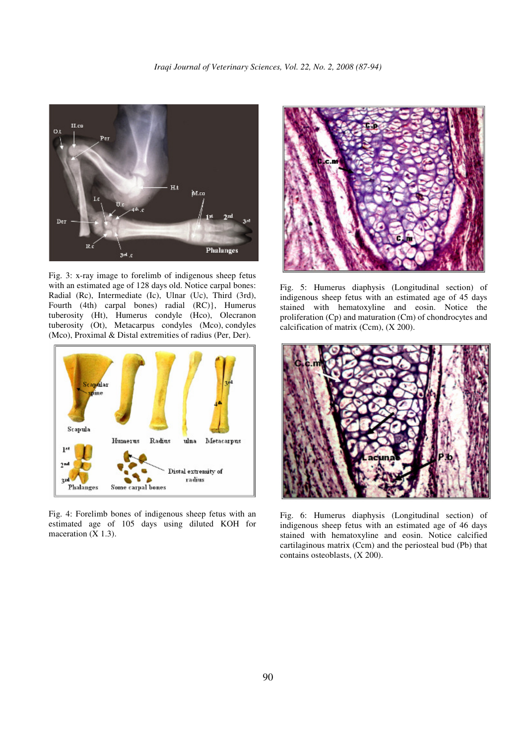

Fig. 3: x-ray image to forelimb of indigenous sheep fetus with an estimated age of 128 days old. Notice carpal bones: Radial (Rc), Intermediate (Ic), Ulnar (Uc), Third (3rd), Fourth (4th) carpal bones) radial (RC)}, Humerus tuberosity (Ht), Humerus condyle (Hco), Olecranon tuberosity (Ot), Metacarpus condyles (Mco), condyles (Mco), Proximal & Distal extremities of radius (Per, Der).



Fig. 4: Forelimb bones of indigenous sheep fetus with an estimated age of 105 days using diluted KOH for maceration (X 1.3).



Fig. 5: Humerus diaphysis (Longitudinal section) of indigenous sheep fetus with an estimated age of 45 days stained with hematoxyline and eosin. Notice the proliferation (Cp) and maturation (Cm) of chondrocytes and calcification of matrix (Ccm), (X 200).



Fig. 6: Humerus diaphysis (Longitudinal section) of indigenous sheep fetus with an estimated age of 46 days stained with hematoxyline and eosin. Notice calcified cartilaginous matrix (Ccm) and the periosteal bud (Pb) that contains osteoblasts, (X 200).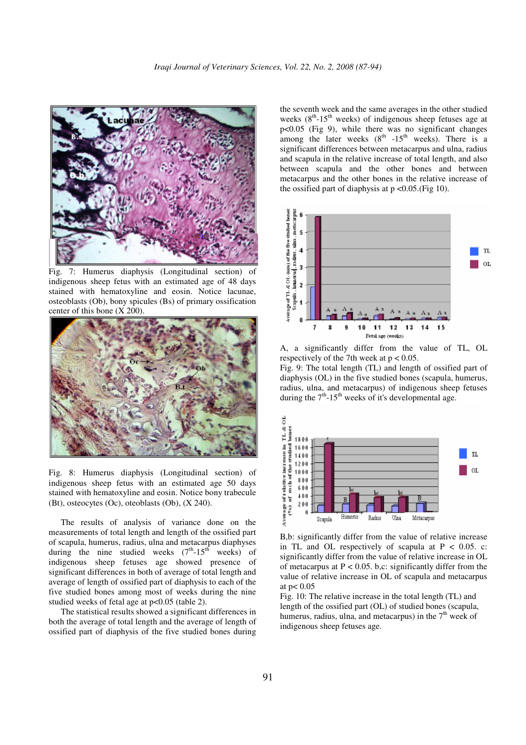

Fig. 7: Humerus diaphysis (Longitudinal section) of indigenous sheep fetus with an estimated age of 48 days stained with hematoxyline and eosin. Notice lacunae, osteoblasts (Ob), bony spicules (Bs) of primary ossification center of this bone (X 200).



Fig. 8: Humerus diaphysis (Longitudinal section) of indigenous sheep fetus with an estimated age 50 days stained with hematoxyline and eosin. Notice bony trabecule (Bt), osteocytes (Oc), oteoblasts (Ob), (X 240).

The results of analysis of variance done on the measurements of total length and length of the ossified part of scapula, humerus, radius, ulna and metacarpus diaphyses during the nine studied weeks  $(7<sup>th</sup>-15<sup>th</sup>$  weeks) of indigenous sheep fetuses age showed presence of significant differences in both of average of total length and average of length of ossified part of diaphysis to each of the five studied bones among most of weeks during the nine studied weeks of fetal age at  $p<0.05$  (table 2).

The statistical results showed a significant differences in both the average of total length and the average of length of ossified part of diaphysis of the five studied bones during

the seventh week and the same averages in the other studied weeks  $(8<sup>th</sup> - 15<sup>th</sup>$  weeks) of indigenous sheep fetuses age at p<0.05 (Fig 9), while there was no significant changes  $p<sub>0.00</sub>$  (Fig. 2), while there was no significant similarsignificant differences between metacarpus and ulna, radius and scapula in the relative increase of total length, and also between scapula and the other bones and between metacarpus and the other bones in the relative increase of the ossified part of diaphysis at  $p \le 0.05$ . (Fig 10).



A, a significantly differ from the value of TL, OL respectively of the 7th week at  $p < 0.05$ .

Fig. 9: The total length (TL) and length of ossified part of diaphysis (OL) in the five studied bones (scapula, humerus, radius, ulna, and metacarpus) of indigenous sheep fetuses during the  $7<sup>th</sup>$ -15<sup>th</sup> weeks of it's developmental age.



B,b: significantly differ from the value of relative increase in TL and OL respectively of scapula at  $P < 0.05$ . c: significantly differ from the value of relative increase in OL of metacarpus at  $P < 0.05$ . b,c: significantly differ from the value of relative increase in OL of scapula and metacarpus at  $p < 0.05$ 

Fig. 10: The relative increase in the total length (TL) and length of the ossified part (OL) of studied bones (scapula, humerus, radius, ulna, and metacarpus) in the  $7<sup>th</sup>$  week of indigenous sheep fetuses age.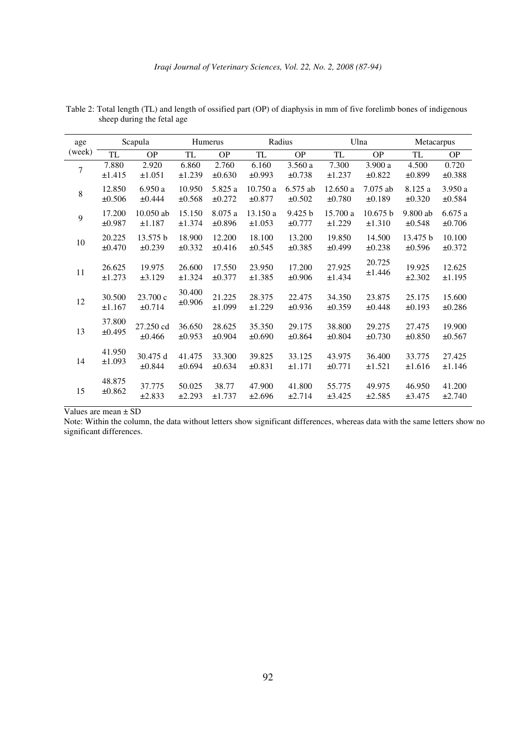| age    | Scapula   |           | Humerus |             | Radius      |             | Ulna     |            | Metacarpus  |           |
|--------|-----------|-----------|---------|-------------|-------------|-------------|----------|------------|-------------|-----------|
| (week) | <b>TL</b> | <b>OP</b> | TL      | <b>OP</b>   | <b>TL</b>   | <b>OP</b>   | TL       | <b>OP</b>  | <b>TL</b>   | <b>OP</b> |
| 7      | 7.880     | 2.920     | 6.860   | 2.760       | 6.160       | 3.560 a     | 7.300    | 3.900a     | 4.500       | 0.720     |
|        | ±1.415    | ±1.051    | ±1.239  | $\pm 0.630$ | ±0.993      | ±0.738      | ±1.237   | ±0.822     | ±0.899      | ±0.388    |
| 8      | 12.850    | 6.950a    | 10.950  | 5.825 a     | 10.750a     | 6.575 ab    | 12.650a  | $7.075$ ab | 8.125 a     | 3.950 a   |
|        | ±0.506    | ±0.444    | ±0.568  | ±0.272      | $\pm 0.877$ | ±0.502      | ±0.780   | ±0.189     | $\pm 0.320$ | ±0.584    |
| 9      | 17.200    | 10.050 ab | 15.150  | 8.075 a     | 13.150 a    | 9.425 b     | 15.700 a | 10.675 b   | 9.800 ab    | 6.675a    |
|        | ±0.987    | ±1.187    | ±1.374  | ±0.896      | ±1.053      | ±0.777      | ±1.229   | ±1.310     | ±0.548      | ±0.706    |
| 10     | 20.225    | 13.575 b  | 18.900  | 12.200      | 18.100      | 13.200      | 19.850   | 14.500     | 13.475 b    | 10.100    |
|        | ±0.470    | ±0.239    | ±0.332  | ±0.416      | ±0.545      | ±0.385      | ±0.499   | ±0.238     | ±0.596      | ±0.372    |
| 11     | 26.625    | 19.975    | 26.600  | 17.550      | 23.950      | 17.200      | 27.925   | 20.725     | 19.925      | 12.625    |
|        | ±1.273    | ±3.129    | ±1.324  | ±0.377      | ±1.385      | $\pm 0.906$ | ±1.434   | ±1.446     | ±2.302      | ±1.195    |
| 12     | 30.500    | 23.700 c  | 30.400  | 21.225      | 28.375      | 22.475      | 34.350   | 23.875     | 25.175      | 15.600    |
|        | ±1.167    | ±0.714    | ±0.906  | ±1.099      | ±1.229      | ±0.936      | ±0.359   | ±0.448     | ±0.193      | ±0.286    |
| 13     | 37.800    | 27.250 cd | 36.650  | 28.625      | 35.350      | 29.175      | 38.800   | 29.275     | 27.475      | 19.900    |
|        | ±0.495    | ±0.466    | ±0.953  | ±0.904      | ±0.690      | ±0.864      | ±0.804   | ±0.730     | ±0.850      | ±0.567    |
| 14     | 41.950    | 30.475 d  | 41.475  | 33.300      | 39.825      | 33.125      | 43.975   | 36.400     | 33.775      | 27.425    |
|        | ±1.093    | ±0.844    | ±0.694  | ±0.634      | ±0.831      | ±1.171      | ±0.771   | ±1.521     | ±1.616      | ±1.146    |
| 15     | 48.875    | 37.775    | 50.025  | 38.77       | 47.900      | 41.800      | 55.775   | 49.975     | 46.950      | 41.200    |
|        | ±0.862    | ±2.833    | ±2.293  | ±1.737      | ±2.696      | ±2.714      | ±3.425   | ±2.585     | ±3.475      | ±2.740    |

 Table 2: Total length (TL) and length of ossified part (OP) of diaphysis in mm of five forelimb bones of indigenous sheep during the fetal age

Values are mean ± SD

 Note: Within the column, the data without letters show significant differences, whereas data with the same letters show no significant differences.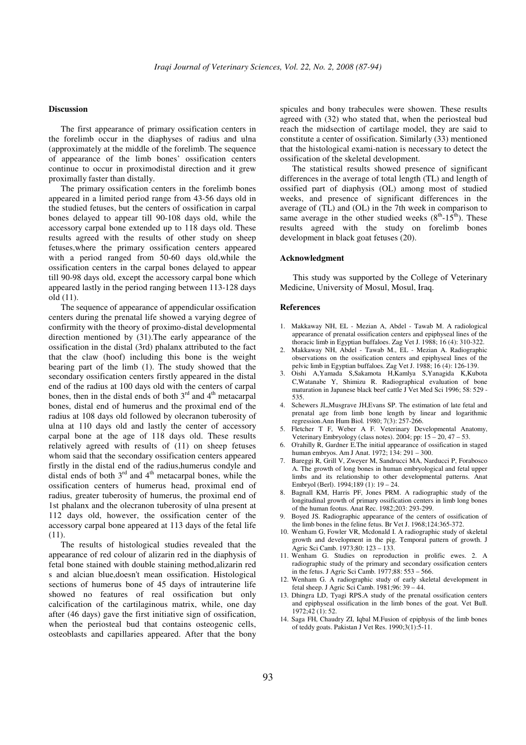#### **Discussion**

The first appearance of primary ossification centers in the forelimb occur in the diaphyses of radius and ulna (approximately at the middle of the forelimb. The sequence of appearance of the limb bones' ossification centers continue to occur in proximodistal direction and it grew proximally faster than distally.

The primary ossification centers in the forelimb bones appeared in a limited period range from 43-56 days old in the studied fetuses, but the centers of ossification in carpal bones delayed to appear till 90-108 days old, while the accessory carpal bone extended up to 118 days old. These results agreed with the results of other study on sheep fetuses,where the primary ossification centers appeared with a period ranged from 50-60 days old,while the ossification centers in the carpal bones delayed to appear till 90-98 days old, except the accessory carpal bone which appeared lastly in the period ranging between 113-128 days old (11).

The sequence of appearance of appendicular ossification centers during the prenatal life showed a varying degree of confirmity with the theory of proximo-distal developmental direction mentioned by (31).The early appearance of the ossification in the distal (3rd) phalanx attributed to the fact that the claw (hoof) including this bone is the weight bearing part of the limb (1). The study showed that the secondary ossification centers firstly appeared in the distal end of the radius at 100 days old with the centers of carpal bones, then in the distal ends of both  $3<sup>rd</sup>$  and  $4<sup>th</sup>$  metacarpal bones, distal end of humerus and the proximal end of the radius at 108 days old followed by olecranon tuberosity of ulna at 110 days old and lastly the center of accessory carpal bone at the age of 118 days old. These results relatively agreed with results of (11) on sheep fetuses whom said that the secondary ossification centers appeared firstly in the distal end of the radius,humerus condyle and distal ends of both  $3<sup>rd</sup>$  and  $4<sup>th</sup>$  metacarpal bones, while the ossification centers of humerus head, proximal end of radius, greater tuberosity of humerus, the proximal end of 1st phalanx and the olecranon tuberosity of ulna present at 112 days old, however, the ossification center of the accessory carpal bone appeared at 113 days of the fetal life (11).

The results of histological studies revealed that the appearance of red colour of alizarin red in the diaphysis of fetal bone stained with double staining method,alizarin red s and alcian blue,doesn't mean ossification. Histological sections of humerus bone of 45 days of intrauterine life showed no features of real ossification but only calcification of the cartilaginous matrix, while, one day after (46 days) gave the first initiative sign of ossification, when the periosteal bud that contains osteogenic cells, osteoblasts and capillaries appeared. After that the bony spicules and bony trabecules were showen. These results agreed with (32) who stated that, when the periosteal bud reach the midsection of cartilage model, they are said to constitute a center of ossification. Similarly (33) mentioned that the histological exami-nation is necessary to detect the ossification of the skeletal development.

The statistical results showed presence of significant differences in the average of total length (TL) and length of ossified part of diaphysis (OL) among most of studied weeks, and presence of significant differences in the average of (TL) and (OL) in the 7th week in comparison to same average in the other studied weeks  $(8<sup>th</sup> - 15<sup>th</sup>)$ . These results agreed with the study on forelimb bones development in black goat fetuses (20).

### **Acknowledgment**

 This study was supported by the College of Veterinary Medicine, University of Mosul, Mosul, Iraq.

#### **References**

- 1. Makkaway NH, EL Mezian A, Abdel Tawab M. A radiological appearance of prenatal ossification centers and epiphyseal lines of the thoracic limb in Egyptian buffaloes. Zag Vet J. 1988; 16 (4): 310-322.
- 2. Makkaway NH, Abdel Tawab M., EL Mezian A. Radiographic observations on the ossification centers and epiphyseal lines of the pelvic limb in Egyptian buffaloes. Zag Vet J. 1988; 16 (4): 126-139.
- 3. Oishi A,Yamada S,Sakamota H,Kamlya S,Yanagida K,Kubota C,Watanabe Y, Shimizu R. Radiographical evaluation of bone maturation in Japanese black beef cattle J Vet Med Sci 1996; 58: 529 - 535.
- 4. Schewers JL,Musgrave JH,Evans SP. The estimation of late fetal and prenatal age from limb bone length by linear and logarithmic regression.Ann Hum Biol. 1980; 7(3): 257-266.
- 5. Fletcher T F, Weber A F. Veterinary Developmental Anatomy, Veterinary Embryology (class notes).  $2004$ ; pp:  $15 - 20$ ,  $47 - 53$ .
- 6. O'rahilly R, Gardner E.The initial appearance of ossification in staged human embryos. Am J Anat. 1972; 134: 291 – 300.
- 7. Bareggi R, Grill V, Zweyer M, Sandrucci MA, Narducci P, Forabosco A. The growth of long bones in human embryological and fetal upper limbs and its relationship to other developmental patterns. Anat Embryol (Berl). 1994;189 (1): 19 – 24.
- 8. Bagnall KM, Harris PF, Jones PRM. A radiographic study of the longitudinal growth of primary ossification centers in limb long bones of the human feotus. Anat Rec. 1982;203: 293-299.
- Boyed JS. Radiographic appearance of the centers of ossification of the limb bones in the feline fetus. Br Vet J. 1968;124:365-372.
- 10. Wenham G, Fowler VR, Mcdonald I. A radiographic study of skeletal growth and development in the pig. Temporal pattern of growth. J Agric Sci Camb. 1973;80: 123 – 133.
- 11. Wenham G. Studies on reproduction in prolific ewes. 2. A radiographic study of the primary and secondary ossification centers in the fetus. J Agric Sci Camb. 1977;88: 553 – 566.
- 12. Wenham G. A radiographic study of early skeletal development in fetal sheep. J Agric Sci Camb. 1981;96: 39 – 44.
- 13. Dhingra LD, Tyagi RPS.A study of the prenatal ossification centers and epiphyseal ossification in the limb bones of the goat. Vet Bull. 1972;42 (1): 52.
- 14. Saga FH, Chaudry ZI, Iqbal M.Fusion of epiphysis of the limb bones of teddy goats. Pakistan J Vet Res. 1990;3(1):5-11.